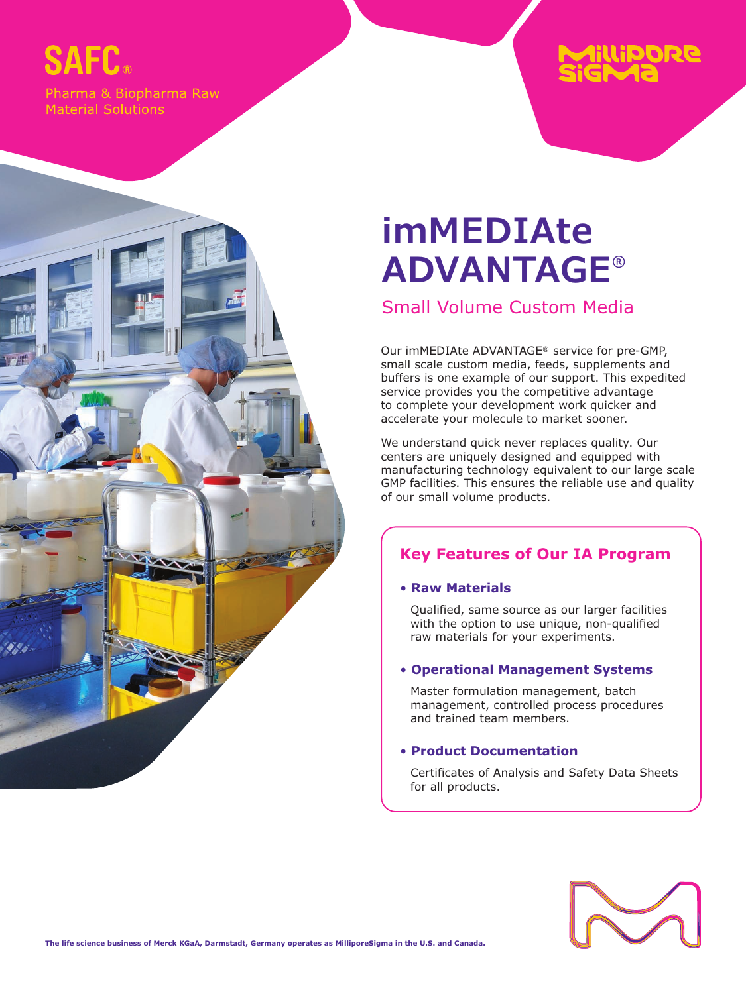# **SAFC**

Pharma & Biopharma Raw **Material Solutions** 



## Small Volume Custom Media

Our imMEDIAte ADVANTAGE® service for pre-GMP, small scale custom media, feeds, supplements and buffers is one example of our support. This expedited service provides you the competitive advantage to complete your development work quicker and accelerate your molecule to market sooner.

llipore

We understand quick never replaces quality. Our centers are uniquely designed and equipped with manufacturing technology equivalent to our large scale GMP facilities. This ensures the reliable use and quality of our small volume products.

## **Key Features of Our IA Program**

#### • **Raw Materials**

Qualified, same source as our larger facilities with the option to use unique, non-qualified raw materials for your experiments.

#### • **Operational Management Systems**

Master formulation management, batch management, controlled process procedures and trained team members.

#### • **Product Documentation**

Certificates of Analysis and Safety Data Sheets for all products.